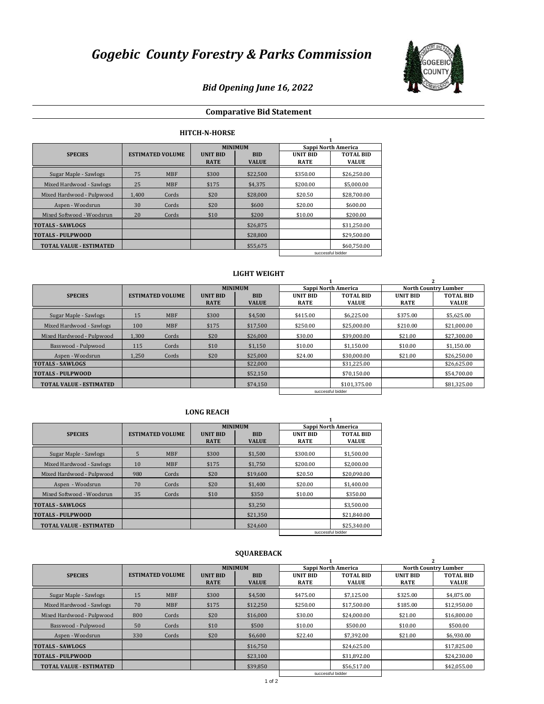

# *Bid Opening June 16, 2022*

## **Comparative Bid Statement**

## **HITCH-N-HORSE**

|                                |                         |            |                                | <b>MINIMUM</b>             | Sappi North America            |                                  |  |  |  |  |
|--------------------------------|-------------------------|------------|--------------------------------|----------------------------|--------------------------------|----------------------------------|--|--|--|--|
| <b>SPECIES</b>                 | <b>ESTIMATED VOLUME</b> |            | <b>UNIT BID</b><br><b>RATE</b> | <b>BID</b><br><b>VALUE</b> | <b>UNIT BID</b><br><b>RATE</b> | <b>TOTAL BID</b><br><b>VALUE</b> |  |  |  |  |
| Sugar Maple - Sawlogs          | 75                      | <b>MBF</b> | \$300                          | \$22,500                   | \$350.00                       | \$26.250.00                      |  |  |  |  |
| Mixed Hardwood - Sawlogs       | 25                      | <b>MBF</b> | \$175                          | \$4.375                    | \$200.00                       | \$5,000.00                       |  |  |  |  |
| Mixed Hardwood - Pulpwood      | 1.400                   | Cords      | \$20                           | \$28,000                   | \$20.50                        | \$28,700.00                      |  |  |  |  |
| Aspen - Woodsrun               | 30                      | Cords      | \$20                           | \$600                      | \$20.00                        | \$600.00                         |  |  |  |  |
| Mixed Softwood - Woodsrun      | 20                      | Cords      | \$10                           | \$200                      | \$10.00                        | \$200.00                         |  |  |  |  |
| <b>TOTALS - SAWLOGS</b>        |                         |            |                                | \$26,875                   |                                | \$31.250.00                      |  |  |  |  |
| <b>TOTALS - PULPWOOD</b>       |                         |            |                                | \$28,800                   |                                | \$29.500.00                      |  |  |  |  |
| <b>TOTAL VALUE - ESTIMATED</b> |                         |            |                                | \$55,675                   |                                | \$60.750.00                      |  |  |  |  |
|                                |                         |            |                                |                            |                                | successful bidder                |  |  |  |  |

#### **LIGHT WEIGHT**

|                                |       |                         | <b>MINIMUM</b>                 |                            | Sappi North America            |                                  | <b>North Country Lumber</b>    |                                  |  |
|--------------------------------|-------|-------------------------|--------------------------------|----------------------------|--------------------------------|----------------------------------|--------------------------------|----------------------------------|--|
| <b>SPECIES</b>                 |       | <b>ESTIMATED VOLUME</b> | <b>UNIT BID</b><br><b>RATE</b> | <b>BID</b><br><b>VALUE</b> | <b>UNIT BID</b><br><b>RATE</b> | <b>TOTAL BID</b><br><b>VALUE</b> | <b>UNIT BID</b><br><b>RATE</b> | <b>TOTAL BID</b><br><b>VALUE</b> |  |
| Sugar Maple - Sawlogs          | 15    | <b>MBF</b>              | \$300                          | \$4.500                    | \$415.00                       | \$6.225.00                       | \$375.00                       | \$5.625.00                       |  |
| Mixed Hardwood - Sawlogs       | 100   | <b>MBF</b>              | \$175                          | \$17.500                   | \$250.00                       | \$25,000.00                      | \$210.00                       | \$21.000.00                      |  |
| Mixed Hardwood - Pulpwood      | 1.300 | Cords                   | \$20                           | \$26,000                   | \$30.00                        | \$39,000.00                      | \$21.00                        | \$27.300.00                      |  |
| Basswood - Pulpwood            | 115   | Cords                   | \$10                           | \$1,150                    | \$10.00                        | \$1.150.00                       | \$10.00                        | \$1.150.00                       |  |
| Aspen - Woodsrun               | 1,250 | Cords                   | \$20                           | \$25,000                   | \$24.00                        | \$30,000.00                      | \$21.00                        | \$26.250.00                      |  |
| <b>TOTALS - SAWLOGS</b>        |       |                         |                                | \$22,000                   |                                | \$31.225.00                      |                                | \$26.625.00                      |  |
| <b>TOTALS - PULPWOOD</b>       |       |                         |                                | \$52,150                   |                                | \$70.150.00                      |                                | \$54.700.00                      |  |
| <b>TOTAL VALUE - ESTIMATED</b> |       |                         |                                | \$74,150                   |                                | \$101.375.00                     |                                | \$81.325.00                      |  |
|                                |       |                         |                                |                            | successful bidder              |                                  |                                |                                  |  |

### **LONG REACH**

|                                |                         |            |                                | <b>MINIMUM</b>             | Sappi North America            |                                  |  |
|--------------------------------|-------------------------|------------|--------------------------------|----------------------------|--------------------------------|----------------------------------|--|
| <b>SPECIES</b>                 | <b>ESTIMATED VOLUME</b> |            | <b>UNIT BID</b><br><b>RATE</b> | <b>BID</b><br><b>VALUE</b> | <b>UNIT BID</b><br><b>RATE</b> | <b>TOTAL BID</b><br><b>VALUE</b> |  |
| Sugar Maple - Sawlogs          | 5                       | <b>MBF</b> | \$300                          | \$1,500                    | \$300.00                       | \$1.500.00                       |  |
| Mixed Hardwood - Sawlogs       | 10                      | <b>MBF</b> | \$175                          | \$1,750                    | \$200.00                       | \$2,000.00                       |  |
| Mixed Hardwood - Pulpwood      | 980                     | Cords      | \$20                           | \$19,600                   | \$20.50                        | \$20.090.00                      |  |
| Aspen - Woodsrun               | 70                      | Cords      | \$20                           | \$1,400                    | \$20.00                        | \$1,400.00                       |  |
| Mixed Softwood - Woodsrun      | 35                      | Cords      | \$10                           | \$350                      | \$10.00                        | \$350.00                         |  |
| <b>TOTALS - SAWLOGS</b>        |                         |            |                                | \$3.250                    |                                | \$3,500.00                       |  |
| <b>TOTALS - PULPWOOD</b>       |                         |            |                                | \$21,350                   |                                | \$21,840.00                      |  |
| <b>TOTAL VALUE - ESTIMATED</b> |                         |            |                                | \$24,600                   |                                | \$25.340.00                      |  |
|                                |                         |            |                                |                            | successful bidder              |                                  |  |

|                                |     |                         | <b>MINIMUM</b>                 |                            | Sappi North America            |                                  | <b>North Country Lumber</b>    |                                  |
|--------------------------------|-----|-------------------------|--------------------------------|----------------------------|--------------------------------|----------------------------------|--------------------------------|----------------------------------|
| <b>SPECIES</b>                 |     | <b>ESTIMATED VOLUME</b> | <b>UNIT BID</b><br><b>RATE</b> | <b>BID</b><br><b>VALUE</b> | <b>UNIT BID</b><br><b>RATE</b> | <b>TOTAL BID</b><br><b>VALUE</b> | <b>UNIT BID</b><br><b>RATE</b> | <b>TOTAL BID</b><br><b>VALUE</b> |
| Sugar Maple - Sawlogs          | 15  | <b>MBF</b>              | \$300                          | \$4,500                    | \$475.00                       | \$7.125.00                       | \$325.00                       | \$4.875.00                       |
| Mixed Hardwood - Sawlogs       | 70  | <b>MBF</b>              | \$175                          | \$12,250                   | \$250.00                       | \$17.500.00                      | \$185.00                       | \$12.950.00                      |
| Mixed Hardwood - Pulpwood      | 800 | Cords                   | \$20                           | \$16,000                   | \$30.00                        | \$24,000.00                      | \$21.00                        | \$16.800.00                      |
| Basswood - Pulpwood            | 50  | Cords                   | \$10                           | \$500                      | \$10.00                        | \$500.00                         | \$10.00                        | \$500.00                         |
| Aspen - Woodsrun               | 330 | Cords                   | \$20                           | \$6,600                    | \$22.40                        | \$7.392.00                       | \$21.00                        | \$6.930.00                       |
| <b>TOTALS - SAWLOGS</b>        |     |                         |                                | \$16,750                   |                                | \$24.625.00                      |                                | \$17.825.00                      |
| <b>TOTALS - PULPWOOD</b>       |     |                         |                                | \$23.100                   |                                | \$31,892.00                      |                                | \$24.230.00                      |
| <b>TOTAL VALUE - ESTIMATED</b> |     |                         |                                | \$39.850                   |                                | \$56.517.00                      |                                | \$42.055.00                      |

#### **SQUAREBACK**

successful bidde